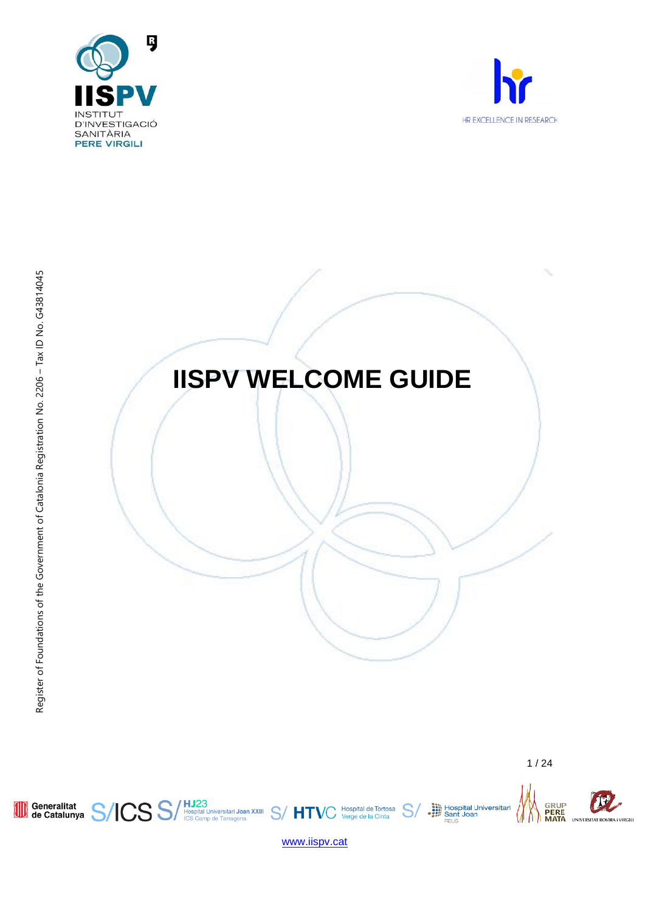



Generalitat S/ICS S/



 $\mathcal{U}$ 

SRUP<br>MERE<br>MATA

**Communist Hospital Universitari**<br> **Sant Joan<br>
FEUS** 

 $S$ 



/ HJ23<br>| Hospital Universitari Joan XXIII S/ HTVC | Hospital de Tortosa<br>| ICS Camp de Tarragona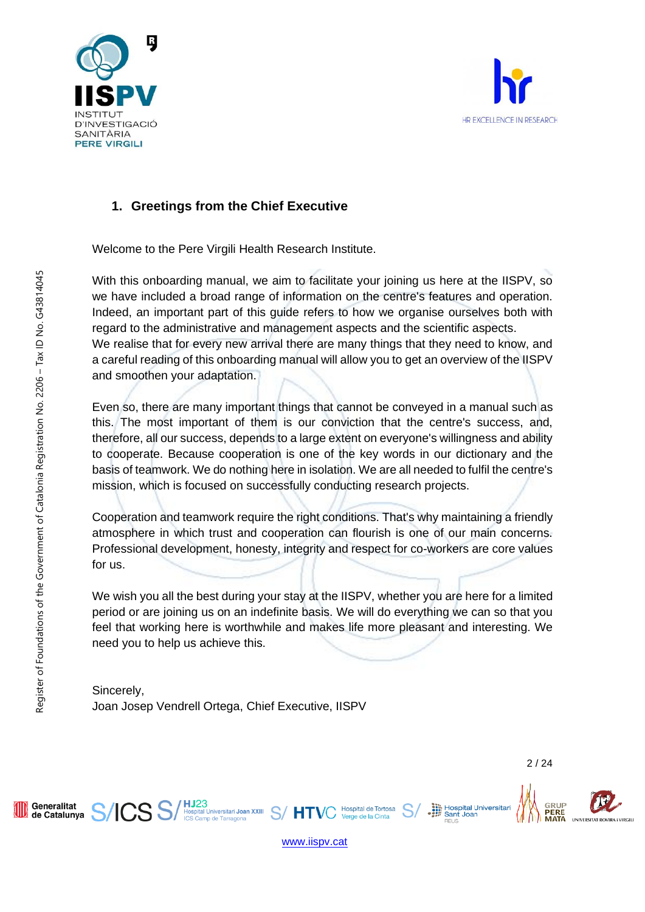



# **1. Greetings from the Chief Executive**

Welcome to the Pere Virgili Health Research Institute.

With this onboarding manual, we aim to facilitate your joining us here at the IISPV, so we have included a broad range of information on the centre's features and operation. Indeed, an important part of this guide refers to how we organise ourselves both with regard to the administrative and management aspects and the scientific aspects. We realise that for every new arrival there are many things that they need to know, and a careful reading of this onboarding manual will allow you to get an overview of the IISPV and smoothen your adaptation.

Even so, there are many important things that cannot be conveyed in a manual such as this. The most important of them is our conviction that the centre's success, and, therefore, all our success, depends to a large extent on everyone's willingness and ability to cooperate. Because cooperation is one of the key words in our dictionary and the basis of teamwork. We do nothing here in isolation. We are all needed to fulfil the centre's mission, which is focused on successfully conducting research projects.

Cooperation and teamwork require the right conditions. That's why maintaining a friendly atmosphere in which trust and cooperation can flourish is one of our main concerns. Professional development, honesty, integrity and respect for co-workers are core values for us.

We wish you all the best during your stay at the IISPV, whether you are here for a limited period or are joining us on an indefinite basis. We will do everything we can so that you feel that working here is worthwhile and makes life more pleasant and interesting. We need you to help us achieve this.

[www.iispv.cat](http://www.iispv.cat/)

 $S/$  HT

Hospital de Tortosa

Verge de la Cinta

Sincerely, Joan Josep Vendrell Ortega, Chief Executive, IISPV

HJ23<br>Hospital Universitari Joan XXIII<br>ICS Camp de Tarragona

Hospital Universitari<br>
Sant Joan

Sant Joar



Generalitat

de Catalunya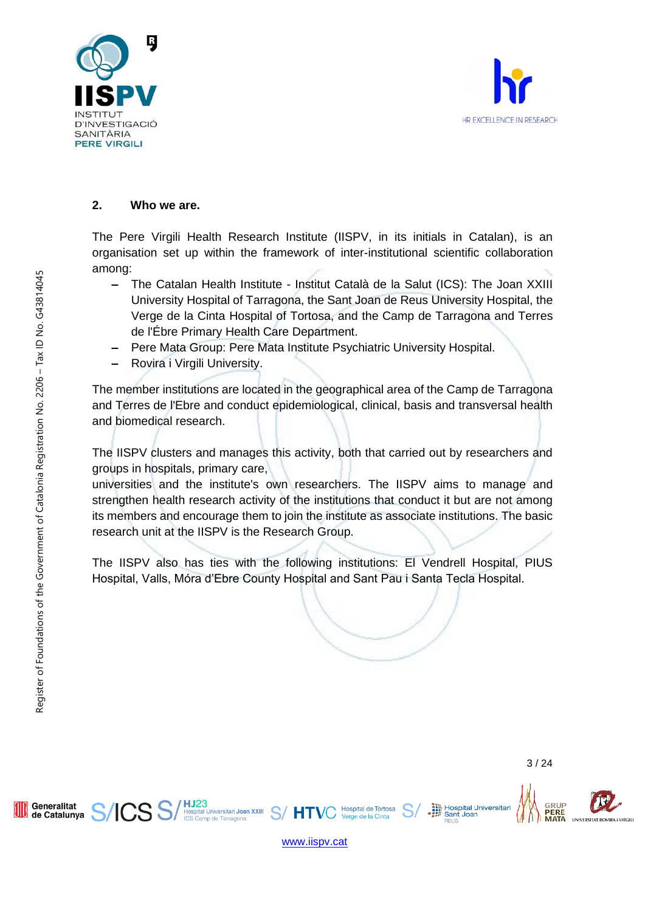



#### **2. Who we are.**

The Pere Virgili Health Research Institute (IISPV, in its initials in Catalan), is an organisation set up within the framework of inter-institutional scientific collaboration among:

- **‒** The Catalan Health Institute Institut Català de la Salut (ICS): The Joan XXIII University Hospital of Tarragona, the Sant Joan de Reus University Hospital, the Verge de la Cinta Hospital of Tortosa, and the Camp de Tarragona and Terres de l'Ébre Primary Health Care Department.
- **‒** Pere Mata Group: Pere Mata Institute Psychiatric University Hospital.
- **‒** Rovira i Virgili University.

The member institutions are located in the geographical area of the Camp de Tarragona and Terres de l'Ebre and conduct epidemiological, clinical, basis and transversal health and biomedical research.

The IISPV clusters and manages this activity, both that carried out by researchers and groups in hospitals, primary care,

universities and the institute's own researchers. The IISPV aims to manage and strengthen health research activity of the institutions that conduct it but are not among its members and encourage them to join the institute as associate institutions. The basic research unit at the IISPV is the Research Group.

The IISPV also has ties with the following institutions: El Vendrell Hospital, PIUS Hospital, Valls, Móra d'Ebre County Hospital and Sant Pau i Santa Tecla Hospital.

[www.iispv.cat](http://www.iispv.cat/)

HT

**Hospital de Tortosa** 

**HJ23**<br>Hospital Universitari **Joan XXIII**<br>ICS Camp de Tarragona

Generalitat

de Catalunya

Hospital Universitari<br>
Sant Joan

Sant Joar

GRUP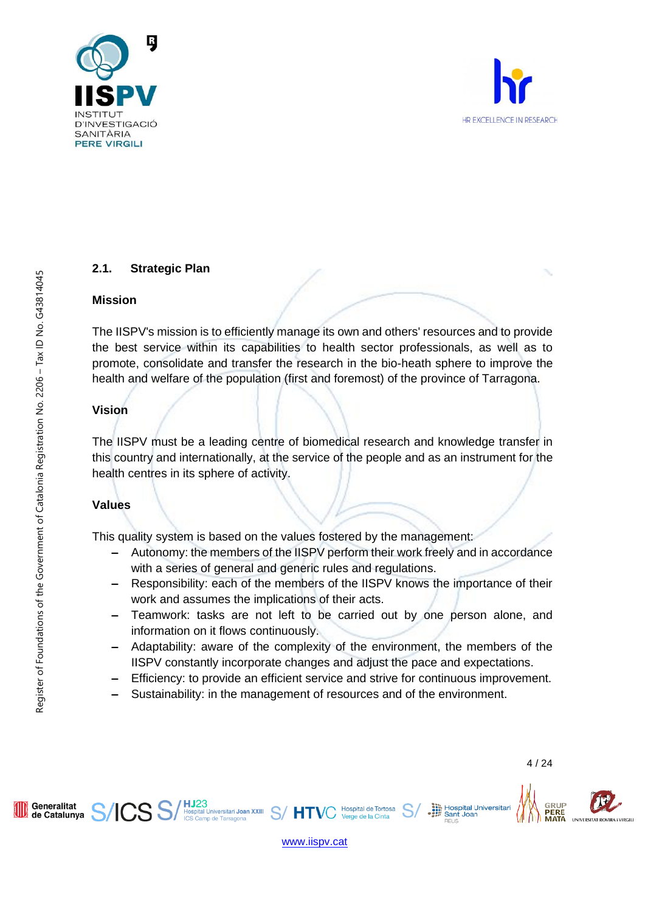



# **2.1. Strategic Plan**

#### **Mission**

The IISPV's mission is to efficiently manage its own and others' resources and to provide the best service within its capabilities to health sector professionals, as well as to promote, consolidate and transfer the research in the bio-heath sphere to improve the health and welfare of the population (first and foremost) of the province of Tarragona.

# **Vision**

The IISPV must be a leading centre of biomedical research and knowledge transfer in this country and internationally, at the service of the people and as an instrument for the health centres in its sphere of activity.

# **Values**

This quality system is based on the values fostered by the management:

- **‒** Autonomy: the members of the IISPV perform their work freely and in accordance with a series of general and generic rules and regulations.
- **‒** Responsibility: each of the members of the IISPV knows the importance of their work and assumes the implications of their acts.
- **‒** Teamwork: tasks are not left to be carried out by one person alone, and information on it flows continuously.
- **‒** Adaptability: aware of the complexity of the environment, the members of the IISPV constantly incorporate changes and adjust the pace and expectations.
- **‒** Efficiency: to provide an efficient service and strive for continuous improvement.
- **‒** Sustainability: in the management of resources and of the environment.

Register of Foundations of the Government of Catalonia Registration No. 2206 - Tax ID No. G43814045



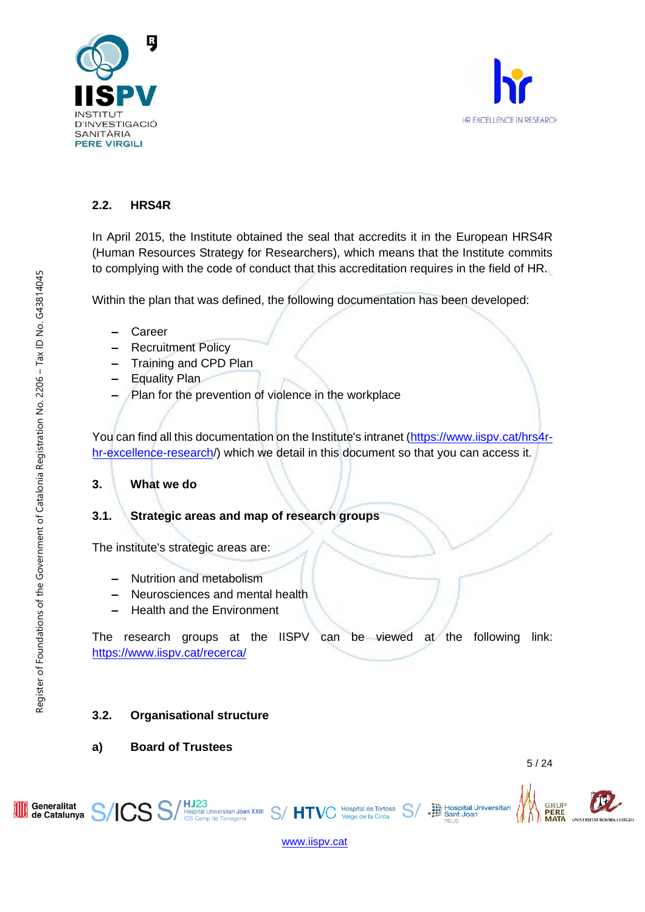



# **2.2. HRS4R**

In April 2015, the Institute obtained the seal that accredits it in the European HRS4R (Human Resources Strategy for Researchers), which means that the Institute commits to complying with the code of conduct that this accreditation requires in the field of HR.

Within the plan that was defined, the following documentation has been developed:

- **‒** Career
- **‒** Recruitment Policy
- **‒** Training and CPD Plan
- **‒** Equality Plan
- Plan for the prevention of violence in the workplace

You can find all this documentation on the Institute's intranet [\(https://www.iispv.cat/hrs4r](https://www.iispv.cat/hrs4r-hr-excellence-research/)[hr-excellence-research/](https://www.iispv.cat/hrs4r-hr-excellence-research/)) which we detail in this document so that you can access it.

# **3. What we do**

# **3.1. Strategic areas and map of research groups**

The institute's strategic areas are:

- **‒** Nutrition and metabolism
- **‒** Neurosciences and mental health
- **‒** Health and the Environment

The research groups at the IISPV can be viewed at the following link: <https://www.iispv.cat/recerca/>

# **3.2. Organisational structure**

**a) Board of Trustees**

Hospital Universitari<br>
Sant Joan

**GRUP** 

PERE

Register of Foundations of the Government of Catalonia Registration No. 2206 – Tax ID No. G43814045

Register of Foundations of the Government of Catalonia Registration No. 2206 - Tax ID No. G43814045

[www.iispv.cat](http://www.iispv.cat/)

Hospital de Tortosa

Verge de la Cinta

HJ23<br>Hospital Universitari Joan XXIII S/HTV<br>ICS Camp de Tarragona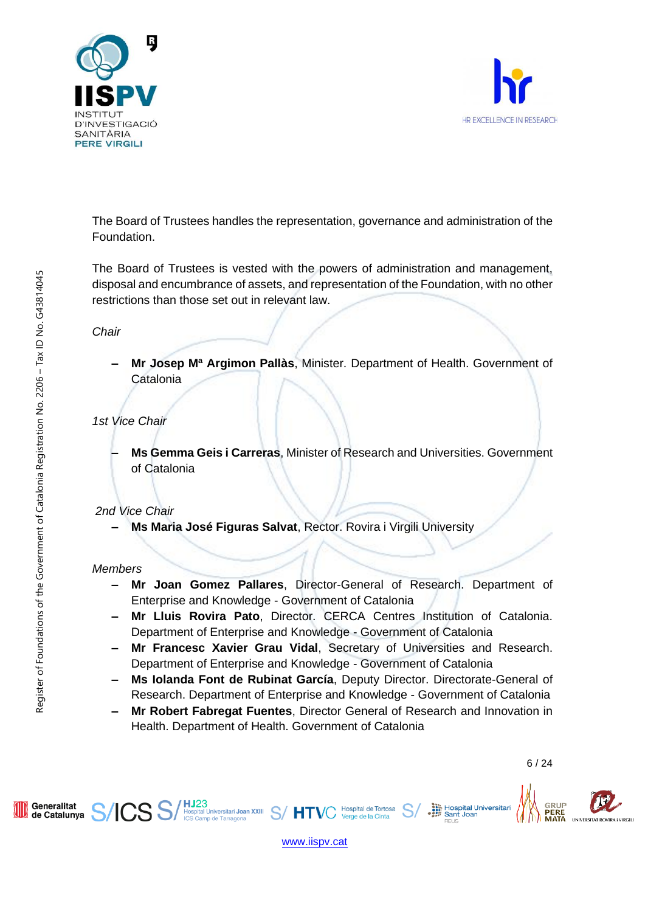



The Board of Trustees handles the representation, governance and administration of the Foundation.

The Board of Trustees is vested with the powers of administration and management, disposal and encumbrance of assets, and representation of the Foundation, with no other restrictions than those set out in relevant law.

*Chair*

**‒ Mr Josep Mª Argimon Pallàs**, Minister. Department of Health. Government of **Catalonia** 

*1st Vice Chair*

**‒ Ms Gemma Geis i Carreras**, Minister of Research and Universities. Government of Catalonia

# *2nd Vice Chair*

**‒ Ms Maria José Figuras Salvat**, Rector. Rovira i Virgili University

# *Members*

- **‒ Mr Joan Gomez Pallares**, Director-General of Research. Department of Enterprise and Knowledge - Government of Catalonia
- **‒ Mr Lluis Rovira Pato**, Director. CERCA Centres Institution of Catalonia. Department of Enterprise and Knowledge - Government of Catalonia
- **‒ Mr Francesc Xavier Grau Vidal**, Secretary of Universities and Research. Department of Enterprise and Knowledge - Government of Catalonia
- **‒ Ms Iolanda Font de Rubinat García**, Deputy Director. Directorate-General of Research. Department of Enterprise and Knowledge - Government of Catalonia
- **‒ Mr Robert Fabregat Fuentes**, Director General of Research and Innovation in Health. Department of Health. Government of Catalonia



[www.iispv.cat](http://www.iispv.cat/)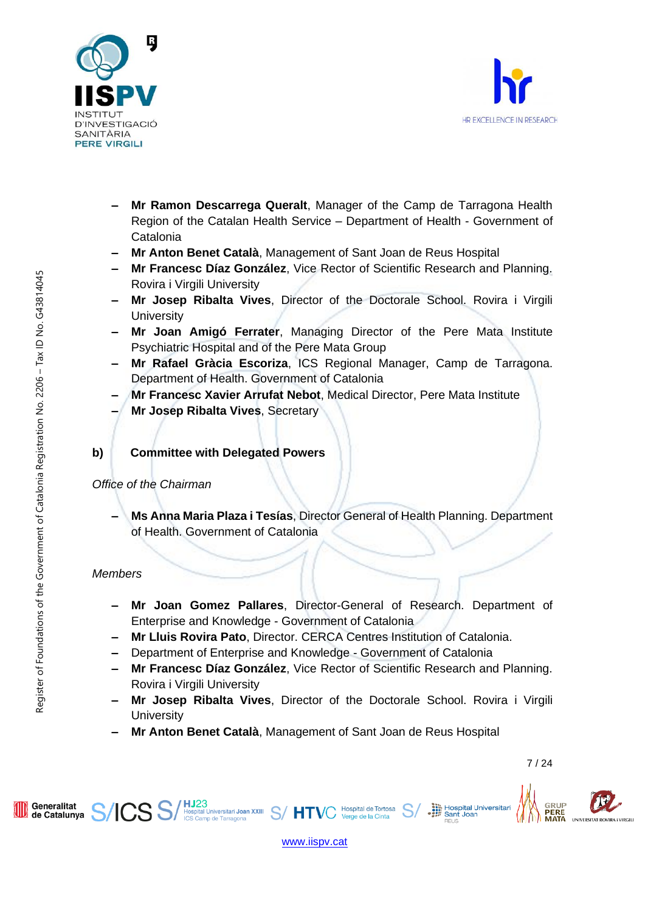



- **‒ Mr Ramon Descarrega Queralt**, Manager of the Camp de Tarragona Health Region of the Catalan Health Service – Department of Health - Government of **Catalonia**
- **‒ Mr Anton Benet Català**, Management of Sant Joan de Reus Hospital
- **‒ Mr Francesc Díaz González**, Vice Rector of Scientific Research and Planning. Rovira i Virgili University
- **‒ Mr Josep Ribalta Vives**, Director of the Doctorale School. Rovira i Virgili **University**
- **‒ Mr Joan Amigó Ferrater**, Managing Director of the Pere Mata Institute Psychiatric Hospital and of the Pere Mata Group
- **‒ Mr Rafael Gràcia Escoriza**, ICS Regional Manager, Camp de Tarragona. Department of Health. Government of Catalonia
- **‒ Mr Francesc Xavier Arrufat Nebot**, Medical Director, Pere Mata Institute
- **‒ Mr Josep Ribalta Vives**, Secretary

# **b) Committee with Delegated Powers**

# *Office of the Chairman*

**‒ Ms Anna Maria Plaza i Tesías**, Director General of Health Planning. Department of Health. Government of Catalonia

# *Members*

- **‒ Mr Joan Gomez Pallares**, Director-General of Research. Department of Enterprise and Knowledge - Government of Catalonia
- **‒ Mr Lluis Rovira Pato**, Director. CERCA Centres Institution of Catalonia.
- **‒** Department of Enterprise and Knowledge Government of Catalonia
- **‒ Mr Francesc Díaz González**, Vice Rector of Scientific Research and Planning. Rovira i Virgili University
- **‒ Mr Josep Ribalta Vives**, Director of the Doctorale School. Rovira i Virgili **University**

Hospital de Tortosa

Verge de la Cinta

**‒ Mr Anton Benet Català**, Management of Sant Joan de Reus Hospital

Hospital Universitari<br>
Sant Joan

GRUP



HJ23<br>Hospital Universitari Joan XXIII S/HTV(<br>ICS Camp de Tarragona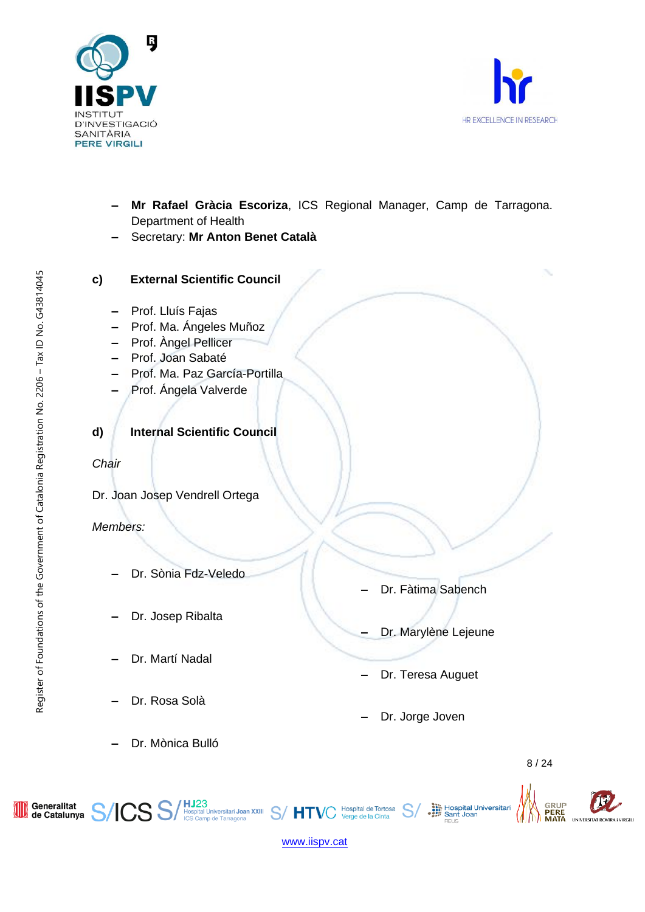



- **‒ Mr Rafael Gràcia Escoriza**, ICS Regional Manager, Camp de Tarragona. Department of Health
- **‒** Secretary: **Mr Anton Benet Català**
- **c) External Scientific Council**
	- **‒** Prof. Lluís Fajas
	- **‒** Prof. Ma. Ángeles Muñoz
	- **‒** Prof. Àngel Pellicer
	- **‒** Prof. Joan Sabaté
	- **‒** Prof. Ma. Paz García-Portilla
	- **‒** Prof. Ángela Valverde
- **d) Internal Scientific Council**

# *Chair*

Dr. Joan Josep Vendrell Ortega

# *Members:*

- **‒** Dr. Sònia Fdz-Veledo
- **‒** Dr. Josep Ribalta
- **‒** Dr. Martí Nadal
- **‒** Dr. Rosa Solà
- **‒** Dr. Mònica Bulló

ICS S

- **‒** Dr. Fàtima Sabench
- **‒** Dr. Marylène Lejeune

Hospital Universitari<br>
Sant Joan<br>
Sant Joan

- **‒** Dr. Teresa Auguet
- **‒** Dr. Jorge Joven



GRUP<br>**PERE**<br>**MATA** 

**NIVERSITAT ROVIDA** 

Register of Foundations of the Government of Catalonia Registration No. 2206 – Tax ID No. G43814045

Register of Foundations of the Government of Catalonia Registration No. 2206 - Tax ID No. G43814045



Hospital de Tortosa Verge de la Cinta

HJ23<br>Hospital Universitari Joan XXIII S/HTV(<br>ICS Camp de Tarragona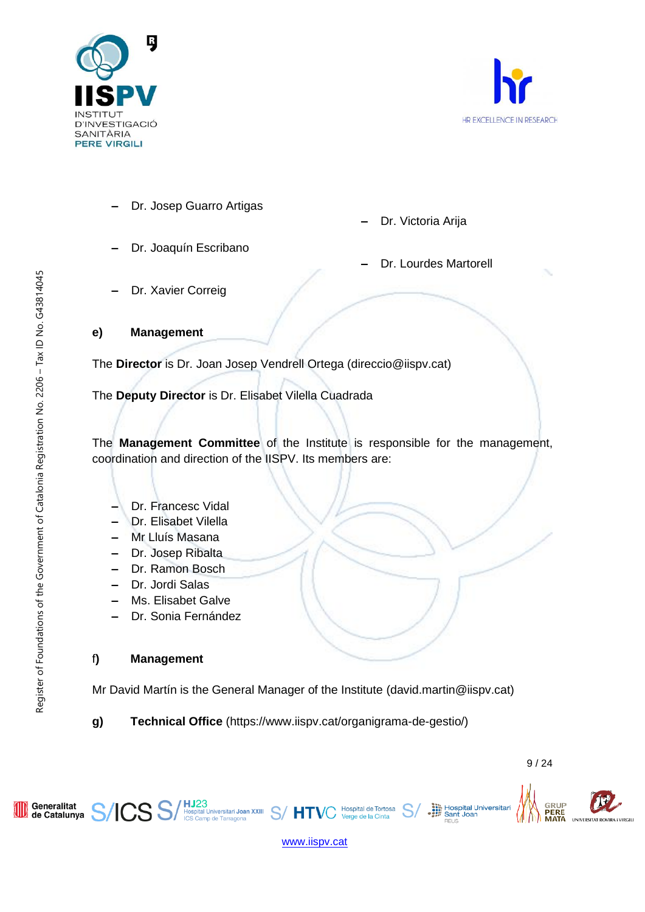



- **‒** Dr. Josep Guarro Artigas
- **‒** Dr. Joaquín Escribano

**‒** Dr. Lourdes Martorell

**‒** Dr. Victoria Arija

**‒** Dr. Xavier Correig

# **e) Management**

The **Director** is Dr. Joan Josep Vendrell Ortega (direccio@iispv.cat)

The **Deputy Director** is Dr. Elisabet Vilella Cuadrada

The **Management Committee** of the Institute is responsible for the management, coordination and direction of the IISPV. Its members are:

- **‒** Dr. Francesc Vidal
- **‒** Dr. Elisabet Vilella
- **‒** Mr Lluís Masana
- **‒** Dr. Josep Ribalta
- **‒** Dr. Ramon Bosch
- **‒** Dr. Jordi Salas
- **‒** Ms. Elisabet Galve
- **‒** Dr. Sonia Fernández

# f**) Management**

Mr David Martín is the General Manager of the Institute (david.martin@iispv.cat)

**g) Technical Office** (https://www.iispv.cat/organigrama-de-gestio/)



Hospital Universitari<br>
Sant Joan

GRUP<br>PERE

**MATA** 

NIVERSITAT ROVIE

[www.iispv.cat](http://www.iispv.cat/)

Hospital de Tortosa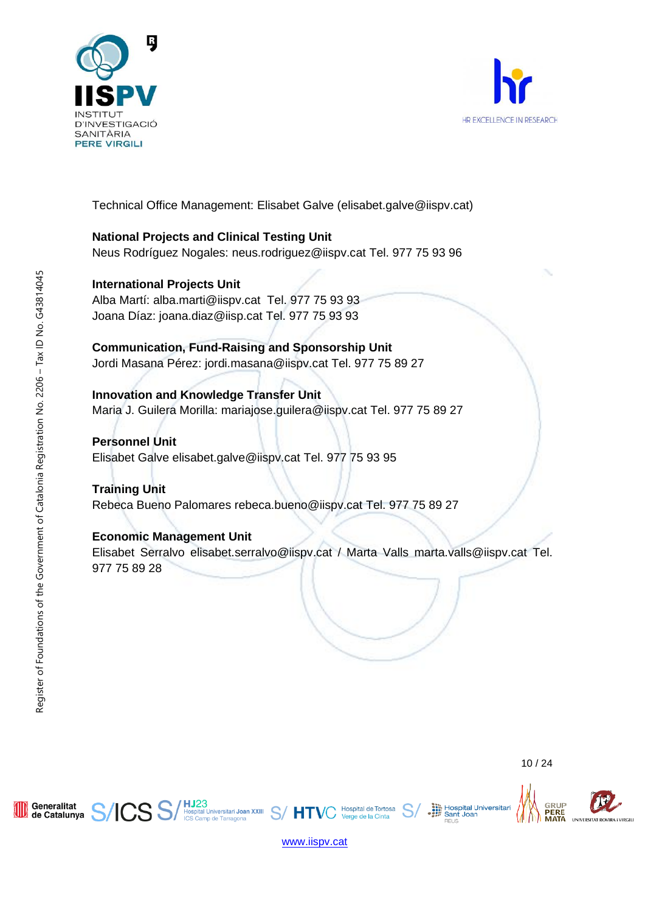



Technical Office Management: Elisabet Galve (elisabet.galve@iispv.cat)

# **National Projects and Clinical Testing Unit**

Neus Rodríguez Nogales: neus.rodriguez@iispv.cat Tel. 977 75 93 96

# **International Projects Unit**

Alba Martí: alba.marti@iispv.cat Tel. 977 75 93 93 Joana Díaz: joana.diaz@iisp.cat Tel. 977 75 93 93

# **Communication, Fund-Raising and Sponsorship Unit**

Jordi Masana Pérez: jordi.masana@iispv.cat Tel. 977 75 89 27

# **Innovation and Knowledge Transfer Unit**

Maria J. Guilera Morilla: mariajose.guilera@iispv.cat Tel. 977 75 89 27

# **Personnel Unit**

Elisabet Galve elisabet.galve@iispv.cat Tel. 977 75 93 95

**HJ23**<br>Hospital Universitari **Joan XXIII**<br>ICS Camp de Tarragona

# **Training Unit**

Rebeca Bueno Palomares rebeca.bueno@iispv.cat Tel. 977 75 89 27

# **Economic Management Unit**

Elisabet Serralvo elisabet.serralvo@iispv.cat / Marta Valls marta.valls@iispv.cat Tel. 977 75 89 28

Generalitat

de Catalunya

Hospital Universitari<br>
Sant Joan

GRUP

PERE



HТ

Hospital de Tortosa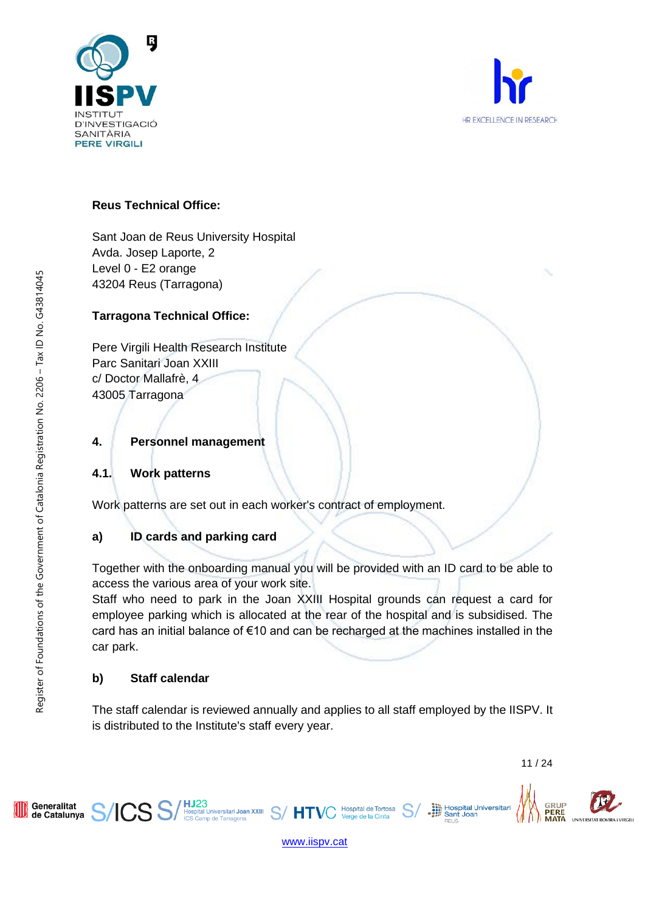



# **Reus Technical Office:**

Sant Joan de Reus University Hospital Avda. Josep Laporte, 2 Level 0 - E2 orange 43204 Reus (Tarragona)

# **Tarragona Technical Office:**

Pere Virgili Health Research Institute Parc Sanitari Joan XXIII c/ Doctor Mallafrè, 4 43005 Tarragona

# **4. Personnel management**

# **4.1. Work patterns**

Work patterns are set out in each worker's contract of employment.

# **a) ID cards and parking card**

**HJ23**<br>Hospital Universitari **Joan XXIII**<br>ICS Camp de Tarragona

Together with the onboarding manual you will be provided with an ID card to be able to access the various area of your work site.

Staff who need to park in the Joan XXIII Hospital grounds can request a card for employee parking which is allocated at the rear of the hospital and is subsidised. The card has an initial balance of €10 and can be recharged at the machines installed in the car park.

# **b) Staff calendar**

S:

The staff calendar is reviewed annually and applies to all staff employed by the IISPV. It is distributed to the Institute's staff every year.

11 / 24

PERE

Hospital Universitari<br>
Sant Joan



Generalitat

de Catalunya

Register of Foundations of the Government of Catalonia Registration No. 2206 – Tax ID No. G43814045

Register of Foundations of the Government of Catalonia Registration No. 2206 - Tax ID No. G43814045



HT

Hospital de Tortosa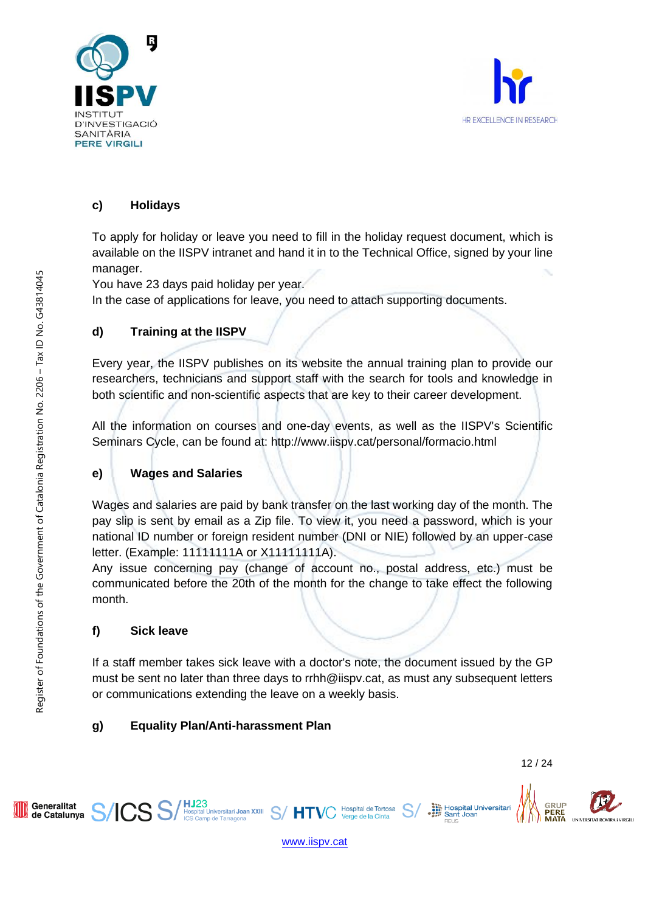



# **c) Holidays**

To apply for holiday or leave you need to fill in the holiday request document, which is available on the IISPV intranet and hand it in to the Technical Office, signed by your line manager.

You have 23 days paid holiday per year.

In the case of applications for leave, you need to attach supporting documents.

# **d) Training at the IISPV**

Every year, the IISPV publishes on its website the annual training plan to provide our researchers, technicians and support staff with the search for tools and knowledge in both scientific and non-scientific aspects that are key to their career development.

All the information on courses and one-day events, as well as the IISPV's Scientific Seminars Cycle, can be found at: http://www.iispv.cat/personal/formacio.html

# **e) Wages and Salaries**

Wages and salaries are paid by bank transfer on the last working day of the month. The pay slip is sent by email as a Zip file. To view it, you need a password, which is your national ID number or foreign resident number (DNI or NIE) followed by an upper-case letter. (Example: 11111111A or X11111111A).

Any issue concerning pay (change of account no., postal address, etc.) must be communicated before the 20th of the month for the change to take effect the following month.

# **f) Sick leave**

If a staff member takes sick leave with a doctor's note, the document issued by the GP must be sent no later than three days to rrhh@iispv.cat, as must any subsequent letters or communications extending the leave on a weekly basis.

# **g) Equality Plan/Anti-harassment Plan**

HJ23<br>Hospital Universitari Joan XXIII S/HT<br>ICS Camp de Tarragona

**GRUP** 

[www.iispv.cat](http://www.iispv.cat/)

Hospital de Tortosa

Verge de la Cinta

Generalitat

de Catalunya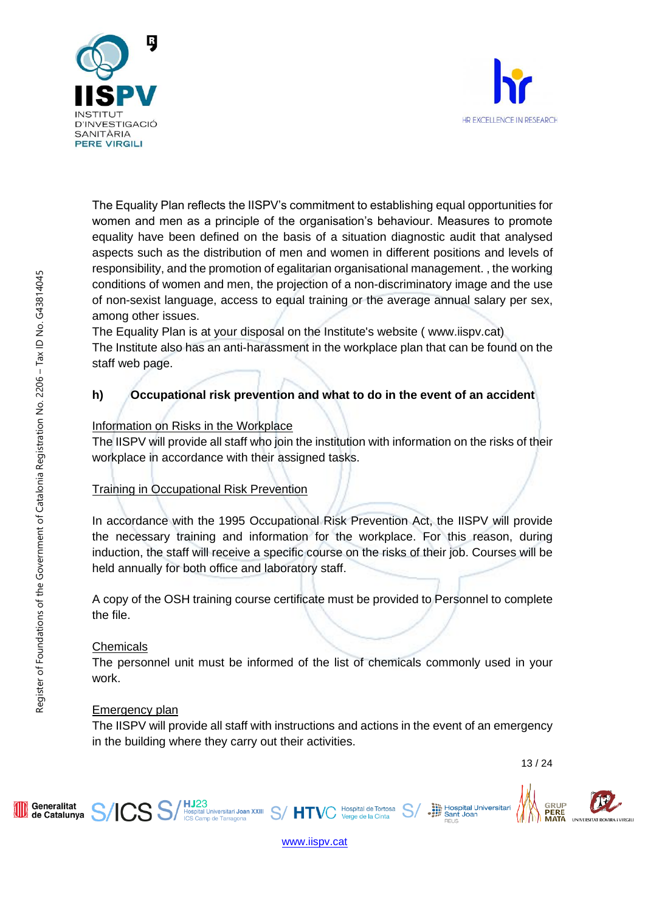



The Equality Plan reflects the IISPV's commitment to establishing equal opportunities for women and men as a principle of the organisation's behaviour. Measures to promote equality have been defined on the basis of a situation diagnostic audit that analysed aspects such as the distribution of men and women in different positions and levels of responsibility, and the promotion of egalitarian organisational management. , the working conditions of women and men, the projection of a non-discriminatory image and the use of non-sexist language, access to equal training or the average annual salary per sex, among other issues.

The Equality Plan is at your disposal on the Institute's website ( www.iispv.cat) The Institute also has an anti-harassment in the workplace plan that can be found on the staff web page.

# **h) Occupational risk prevention and what to do in the event of an accident**

# Information on Risks in the Workplace

The IISPV will provide all staff who join the institution with information on the risks of their workplace in accordance with their assigned tasks.

# Training in Occupational Risk Prevention

In accordance with the 1995 Occupational Risk Prevention Act, the IISPV will provide the necessary training and information for the workplace. For this reason, during induction, the staff will receive a specific course on the risks of their job. Courses will be held annually for both office and laboratory staff.

A copy of the OSH training course certificate must be provided to Personnel to complete the file.

# **Chemicals**

The personnel unit must be informed of the list of chemicals commonly used in your work.

# Emergency plan

The IISPV will provide all staff with instructions and actions in the event of an emergency in the building where they carry out their activities.

Hospital de Tortosa

Verge de la Cinta

13 / 24

Hospital Universitari<br>
Sant Joan





HJ23<br>Hospital Universitari Joan XXIII S/HTV(<br>ICS Camp de Tarragona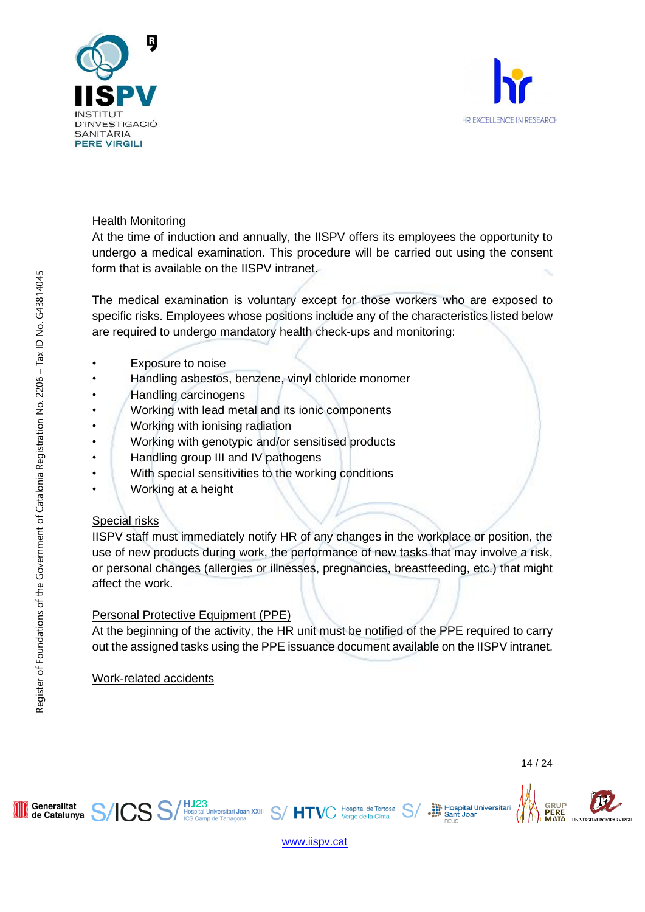



# Health Monitoring

At the time of induction and annually, the IISPV offers its employees the opportunity to undergo a medical examination. This procedure will be carried out using the consent form that is available on the IISPV intranet.

The medical examination is voluntary except for those workers who are exposed to specific risks. Employees whose positions include any of the characteristics listed below are required to undergo mandatory health check-ups and monitoring:

- Exposure to noise
- Handling asbestos, benzene, vinyl chloride monomer
- Handling carcinogens
- Working with lead metal and its ionic components
- Working with ionising radiation
- Working with genotypic and/or sensitised products
- Handling group III and IV pathogens
- With special sensitivities to the working conditions
- Working at a height

# Special risks

IISPV staff must immediately notify HR of any changes in the workplace or position, the use of new products during work, the performance of new tasks that may involve a risk, or personal changes (allergies or illnesses, pregnancies, breastfeeding, etc.) that might affect the work.

# Personal Protective Equipment (PPE)

At the beginning of the activity, the HR unit must be notified of the PPE required to carry out the assigned tasks using the PPE issuance document available on the IISPV intranet.

Work-related accidents

Generalitat

de Catalunya

14 / 24

Hospital Universitari<br>
Sant Joan





Hospital de Tortosa

Verge de la Cinta

HJ23<br>Hospital Universitari Joan XXIII S/HTV(<br>ICS Camp de Tarragona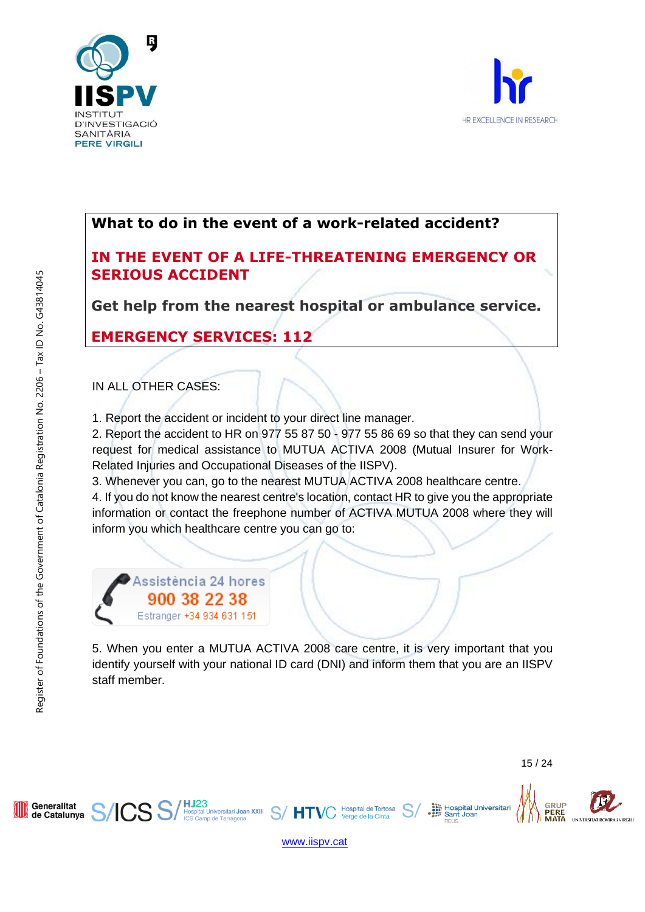



# **What to do in the event of a work-related accident?**

# **IN THE EVENT OF A LIFE-THREATENING EMERGENCY OR SERIOUS ACCIDENT**

**Get help from the nearest hospital or ambulance service.** 

# **EMERGENCY SERVICES: 112**

# IN ALL OTHER CASES:

1. Report the accident or incident to your direct line manager.

2. Report the accident to HR on 977 55 87 50 - 977 55 86 69 so that they can send your request for medical assistance to MUTUA ACTIVA 2008 (Mutual Insurer for Work-Related Injuries and Occupational Diseases of the IISPV).

3. Whenever you can, go to the nearest MUTUA ACTIVA 2008 healthcare centre.

4. If you do not know the nearest centre's location, contact HR to give you the appropriate information or contact the freephone number of ACTIVA MUTUA 2008 where they will inform you which healthcare centre you can go to:

Assistència 24 hores 900 38 22 38 Estranger +34 934 631 151

5. When you enter a MUTUA ACTIVA 2008 care centre, it is very important that you identify yourself with your national ID card (DNI) and inform them that you are an IISPV staff member.

15 / 24

Hospital Universitari<br>
Sant Joan

GRUP

PERE



[www.iispv.cat](http://www.iispv.cat/)

′ нт

Hospital de Tortosa

Verge de la Cinta

HJ23<br>Hospital Universitari Joan XXIII<br>ICS Camp de Tarragona

Generalitat

de Catalunya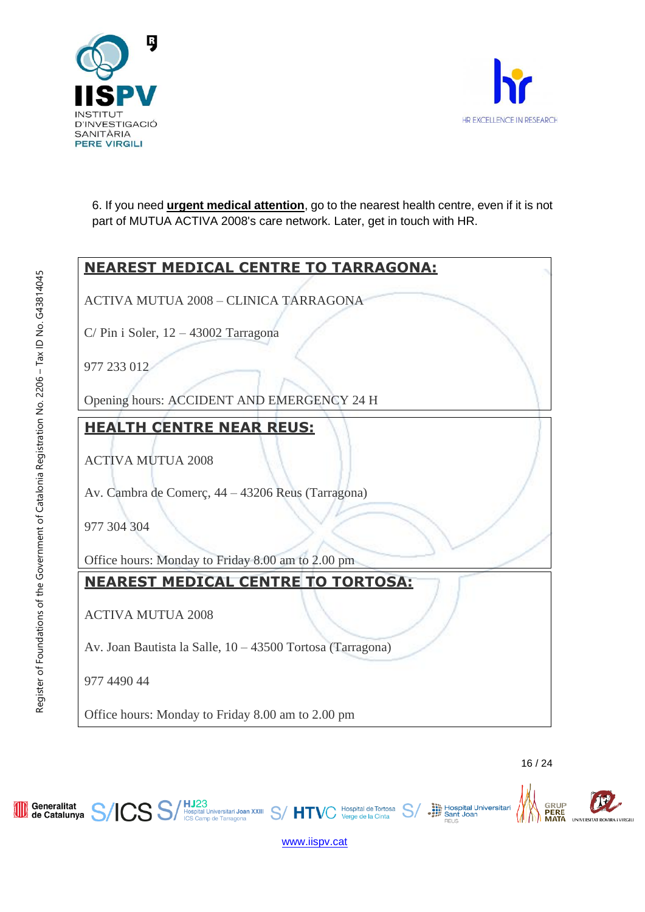



6. If you need **urgent medical attention**, go to the nearest health centre, even if it is not part of MUTUA ACTIVA 2008's care network. Later, get in touch with HR.

# **NEAREST MEDICAL CENTRE TO TARRAGONA:** ACTIVA MUTUA 2008 – CLINICA TARRAGONA C/ Pin i Soler, 12 – 43002 Tarragona 977 233 012 Opening hours: ACCIDENT AND EMERGENCY 24 H **HEALTH CENTRE NEAR REUS:** ACTIVA MUTUA 2008 Av. Cambra de Comerç, 44 – 43206 Reus (Tarragona) 977 304 304 Office hours: Monday to Friday 8.00 am to 2.00 pm **NEAREST MEDICAL CENTRE TO TORTOSA:** ACTIVA MUTUA 2008 Av. Joan Bautista la Salle, 10 – 43500 Tortosa (Tarragona) 977 4490 44 Office hours: Monday to Friday 8.00 am to 2.00 pm



Hospital de Tortosa

Verge de la Cinta

**HJ23**<br>Hospital Universitari Joan XXIII S/HTVC

Generalitat

de Catalunya

SS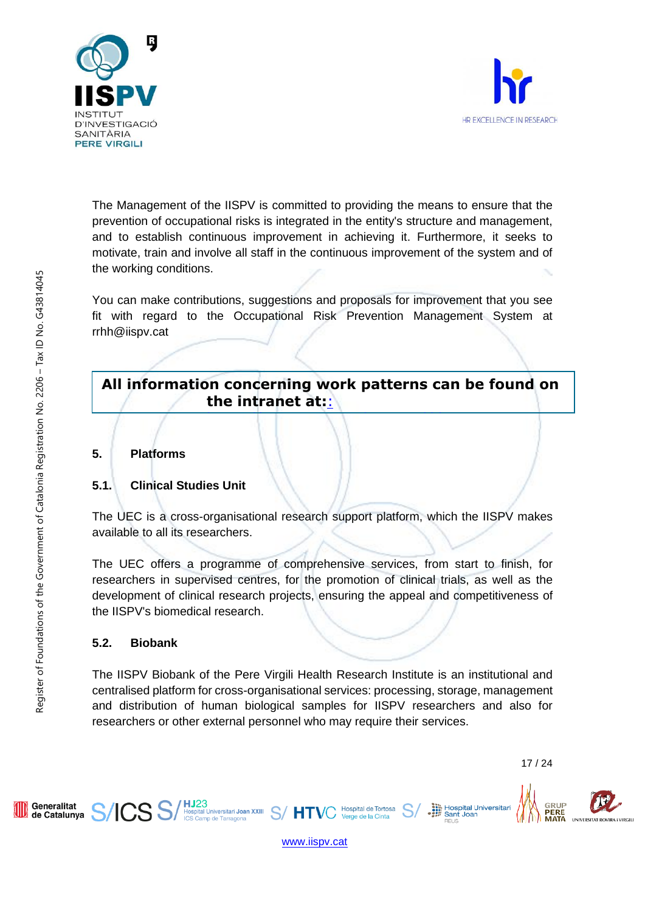



The Management of the IISPV is committed to providing the means to ensure that the prevention of occupational risks is integrated in the entity's structure and management, and to establish continuous improvement in achieving it. Furthermore, it seeks to motivate, train and involve all staff in the continuous improvement of the system and of the working conditions.

You can make contributions, suggestions and proposals for improvement that you see fit with regard to the Occupational Risk Prevention Management System at rrhh@iispv.cat

# **All information concerning work patterns can be found on the intranet at:**:

[https://www.iispv.cat/personal/documentacio-](https://www.iispv.cat/personal/documentacio-personal/)

**5. Platforms**

# **5.1. Clinical Studies Unit**

[personal/](https://www.iispv.cat/personal/documentacio-personal/)

The UEC is a cross-organisational research support platform, which the IISPV makes available to all its researchers.

The UEC offers a programme of comprehensive services, from start to finish, for researchers in supervised centres, for the promotion of clinical trials, as well as the development of clinical research projects, ensuring the appeal and competitiveness of the IISPV's biomedical research.

# **5.2. Biobank**

The IISPV Biobank of the Pere Virgili Health Research Institute is an institutional and centralised platform for cross-organisational services: processing, storage, management and distribution of human biological samples for IISPV researchers and also for researchers or other external personnel who may require their services.

Hospital Universitari<br>
Sant Joan

Sant Joar







Hospital de Tortosa

Verge de la Cinta

HJ23<br>Hospital Universitari Joan XXIII S/HTV(<br>ICS Camp de Tarragona

Generalitat

de Catalunya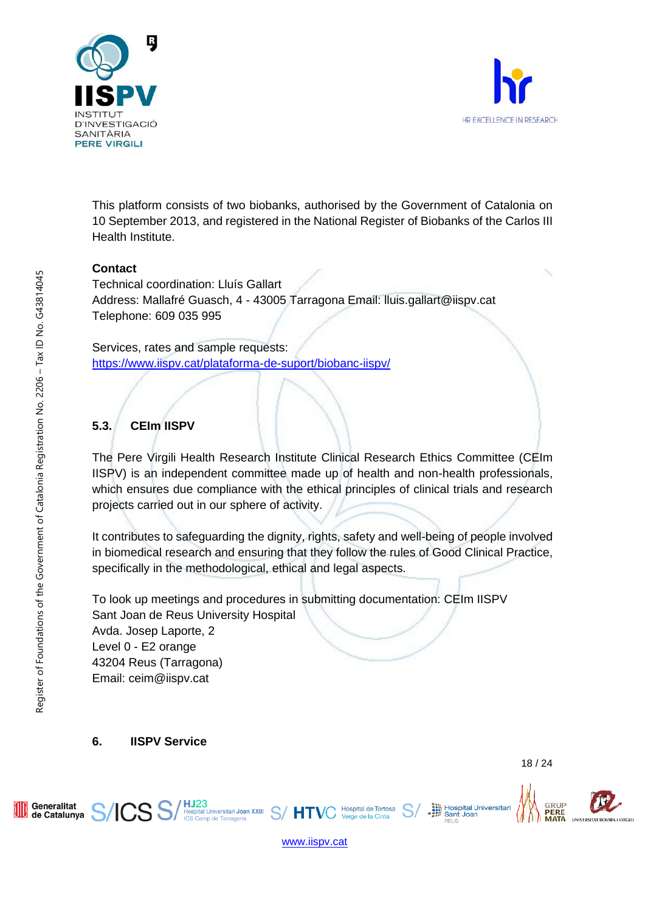



This platform consists of two biobanks, authorised by the Government of Catalonia on 10 September 2013, and registered in the National Register of Biobanks of the Carlos III Health Institute.

# **Contact**

Technical coordination: Lluís Gallart Address: Mallafré Guasch, 4 - 43005 Tarragona Email: lluis.gallart@iispv.cat Telephone: 609 035 995

Services, rates and sample requests: <https://www.iispv.cat/plataforma-de-suport/biobanc-iispv/>

# **5.3. CEIm IISPV**

The Pere Virgili Health Research Institute Clinical Research Ethics Committee (CEIm IISPV) is an independent committee made up of health and non-health professionals, which ensures due compliance with the ethical principles of clinical trials and research projects carried out in our sphere of activity.

It contributes to safeguarding the dignity, rights, safety and well-being of people involved in biomedical research and ensuring that they follow the rules of Good Clinical Practice, specifically in the methodological, ethical and legal aspects.

To look up meetings and procedures in submitting documentation: CEIm IISPV Sant Joan de Reus University Hospital Avda. Josep Laporte, 2 Level 0 - E2 orange 43204 Reus (Tarragona) Email: ceim@iispv.cat

**6. IISPV Service**

Hospital Universitari<br>
Sant Joan

Sant Joar

GRUP

Register of Foundations of the Government of Catalonia Registration No. 2206 – Tax ID No. G43814045

Register of Foundations of the Government of Catalonia Registration No. 2206 - Tax ID No. G43814045

[www.iispv.cat](http://www.iispv.cat/)

Hospital de Tortosa

Verge de la Cinta

HJ23<br>Hospital Universitari Joan XXIII S/HTV<br>ICS Camp de Tarragona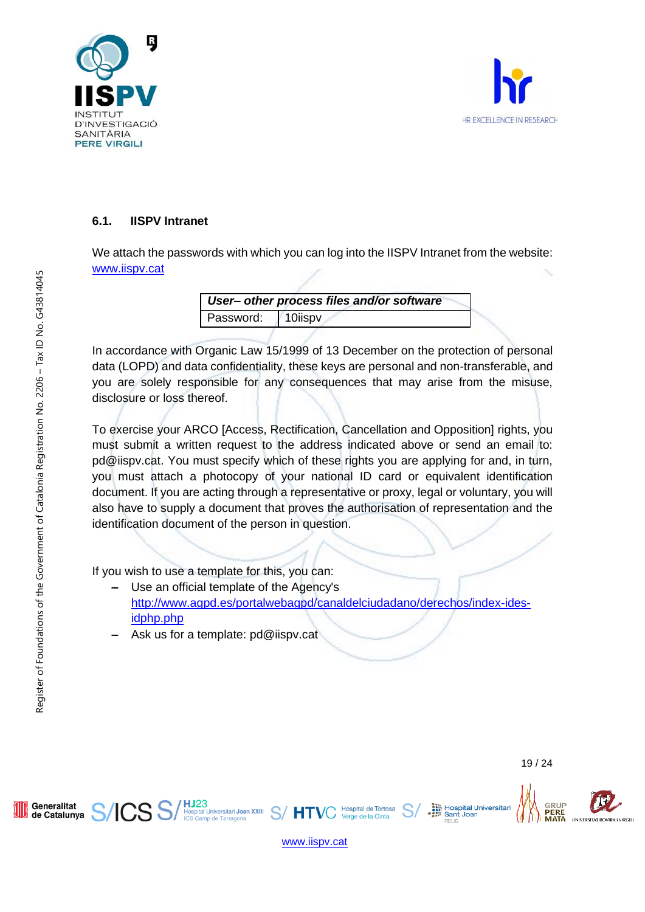



# **6.1. IISPV Intranet**

We attach the passwords with which you can log into the IISPV Intranet from the website: [www.iispv.cat](http://www.iispv.cat/)

> *User– other process files and/or software* Password: 10iispv

In accordance with Organic Law 15/1999 of 13 December on the protection of personal data (LOPD) and data confidentiality, these keys are personal and non-transferable, and you are solely responsible for any consequences that may arise from the misuse, disclosure or loss thereof.

To exercise your ARCO [Access, Rectification, Cancellation and Opposition] rights, you must submit a written request to the address indicated above or send an email to: pd@iispv.cat. You must specify which of these rights you are applying for and, in turn, you must attach a photocopy of your national ID card or equivalent identification document. If you are acting through a representative or proxy, legal or voluntary, you will also have to supply a document that proves the authorisation of representation and the identification document of the person in question.

If you wish to use a template for this, you can:

- **‒** Use an official template of the Agency's [http://www.agpd.es/portalwebagpd/canaldelciudadano/derechos/index-ides](http://www.agpd.es/portalwebagpd/canaldelciudadano/derechos/index-ides-%20idphp.php)[idphp.php](http://www.agpd.es/portalwebagpd/canaldelciudadano/derechos/index-ides-%20idphp.php)
- **‒** Ask us for a template: pd@iispv.cat

**HJ23**<br>Hospital Universitari **Joan XXIII**<br>ICS Camp de Tarragona

Generalitat

de Catalunya

Hospital Universitari<br>
Sant Joan

Sant Joar

GRUP



 $S/$  HT

**Hospital de Tortosa**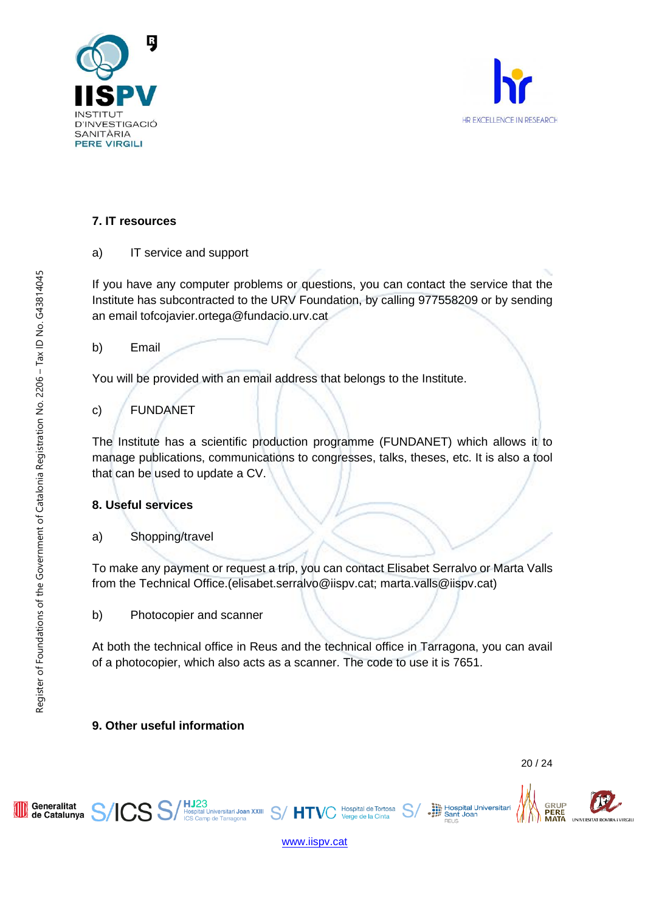



# **7. IT resources**

a) IT service and support

If you have any computer problems or questions, you can contact the service that the Institute has subcontracted to the URV Foundation, by calling 977558209 or by sending an email tofcojavier.ortega@fundacio.urv.cat

b) Email

You will be provided with an email address that belongs to the Institute.

c) FUNDANET

The Institute has a scientific production programme (FUNDANET) which allows it to manage publications, communications to congresses, talks, theses, etc. It is also a tool that can be used to update a CV.

# **8. Useful services**

a) Shopping/travel

To make any payment or request a trip, you can contact Elisabet Serralvo or Marta Valls from the Technical Office.(elisabet.serralvo@iispv.cat; marta.valls@iispv.cat)

b) Photocopier and scanner

At both the technical office in Reus and the technical office in Tarragona, you can avail of a photocopier, which also acts as a scanner. The code to use it is 7651.

# **9. Other useful information**

HJ23<br>Hospital Universitari Joan XXIII<br>ICS Camp de Tarragona

PERE

Hospital Universitari<br>
Sant Joan



[www.iispv.cat](http://www.iispv.cat/)

HT

Hospital de Tortosa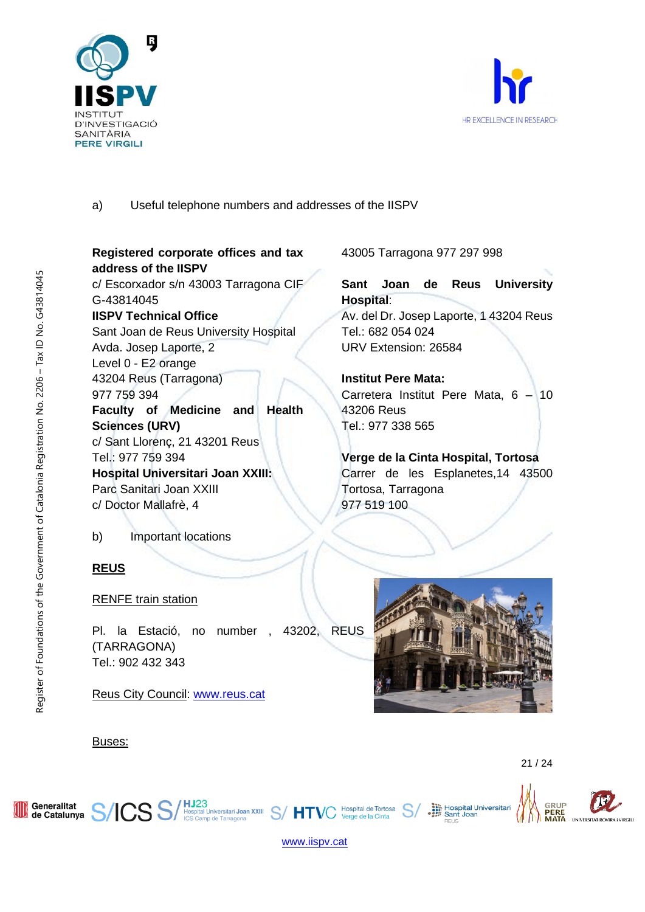



# a) Useful telephone numbers and addresses of the IISPV

# **Registered corporate offices and tax address of the IISPV**

c/ Escorxador s/n 43003 Tarragona CIF G-43814045 **IISPV Technical Office**

Sant Joan de Reus University Hospital Avda. Josep Laporte, 2 Level 0 - E2 orange 43204 Reus (Tarragona) 977 759 394 **Faculty of Medicine and Health Sciences (URV)** c/ Sant Llorenç, 21 43201 Reus Tel.: 977 759 394 **Hospital Universitari Joan XXIII:**  Parc Sanitari Joan XXIII c/ Doctor Mallafrè, 4

b) Important locations

# **REUS**

Buses:

# RENFE train station

CS S

Pl. la Estació, no number , 43202, REUS (TARRAGONA) Tel.: 902 432 343

**HJ23**<br>Hospital Universitari Joan XXIII S/HTV(

Reus City Council: [www.reus.cat](file://///10.40.3.50/RRHH%20-%20Convocatories/2021/Documentacio/www.reus.cat)

Hospital Universitari<br>
Sant Joan

Sant Joar

43005 Tarragona 977 297 998

**Hospital**:

Tel.: 682 054 024 URV Extension: 26584

**Institut Pere Mata:**

Tortosa, Tarragona

43206 Reus Tel.: 977 338 565

977 519 100

**Sant Joan de Reus University** 

Av. del Dr. Josep Laporte, 1 43204 Reus

Carretera Institut Pere Mata, 6 – 10

**Verge de la Cinta Hospital, Tortosa** Carrer de les Esplanetes,14 43500

GRUP

PERE

ΜΔΤΔ

#### Generalitat de Catalunya

21 / 24



[www.iispv.cat](http://www.iispv.cat/)

Hospital de Tortosa

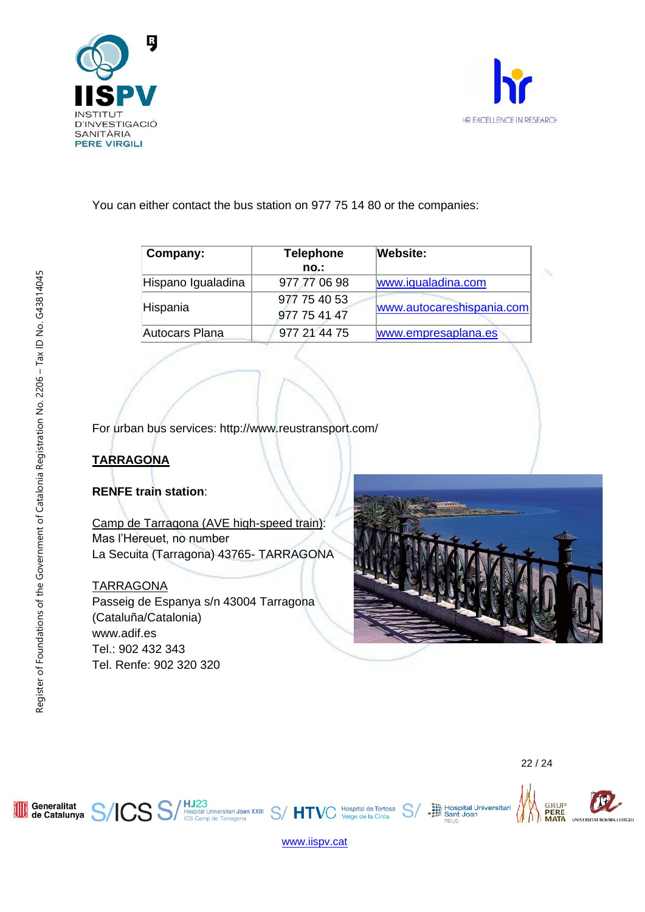



You can either contact the bus station on 977 75 14 80 or the companies:

| Company:              | <b>Telephone</b><br>no.:     | <b>Website:</b>           |
|-----------------------|------------------------------|---------------------------|
| Hispano Igualadina    | 977 77 06 98                 | www.igualadina.com        |
| Hispania              | 977 75 40 53<br>977 75 41 47 | www.autocareshispania.com |
| <b>Autocars Plana</b> | 977 21 44 75                 | www.empresaplana.es       |

For urban bus services: http://www.reustransport.com/

# **TARRAGONA**

# **RENFE train station**:

Camp de Tarragona (AVE high-speed train): Mas l'Hereuet, no number La Secuita (Tarragona) 43765- TARRAGONA

# **TARRAGONA**

Passeig de Espanya s/n 43004 Tarragona (Cataluña/Catalonia) www.adif.es Tel.: 902 432 343 Tel. Renfe: 902 320 320







[www.iispv.cat](http://www.iispv.cat/)

22 / 24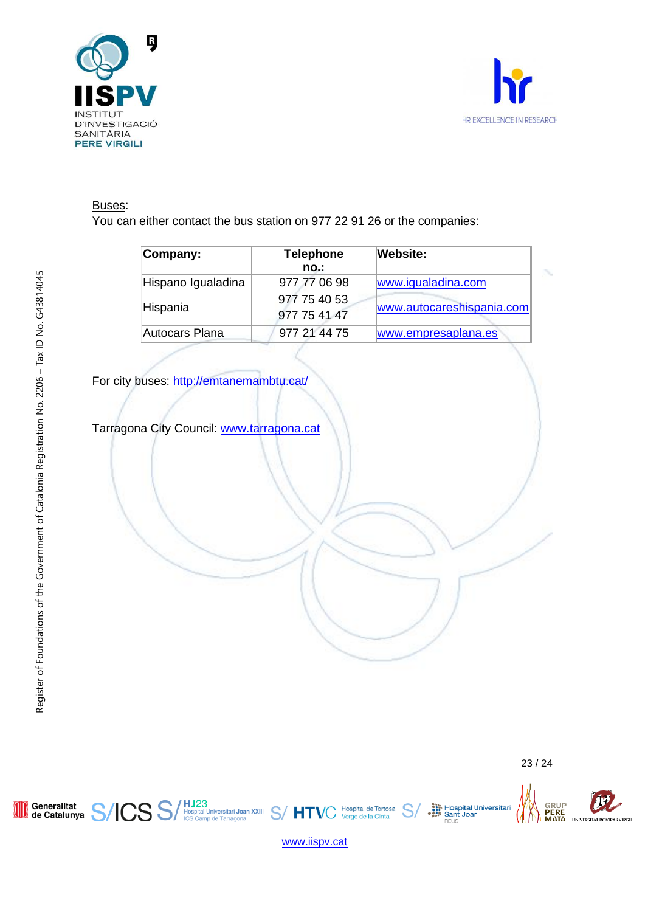



# Buses:

You can either contact the bus station on 977 22 91 26 or the companies:

| Company:              | <b>Telephone</b><br>no       | Website:                  |
|-----------------------|------------------------------|---------------------------|
| Hispano Igualadina    | 977 77 06 98                 | www.igualadina.com        |
| Hispania              | 977 75 40 53<br>977 75 41 47 | www.autocareshispania.com |
| <b>Autocars Plana</b> | 977 21 44 75                 | www.empresaplana.es       |

For city buses:<http://emtanemambtu.cat/>

Tarragona City Council: [www.tarragona.cat](file://///10.40.3.50/RRHH%20-%20Convocatories/2021/Documentacio/www.tarragona.cat)

Generalitat<br>de Catalunya

**ICSS** 

**AID** 



₩, IM

Hospital Universitari<br>
Sant Joan<br>
REUS



Hospital de Tortosa<br>Verge de la Cinta

HJ23<br>Hospital Universitari Joan XXIII S/HT<br>ICS Camp de Tarragona